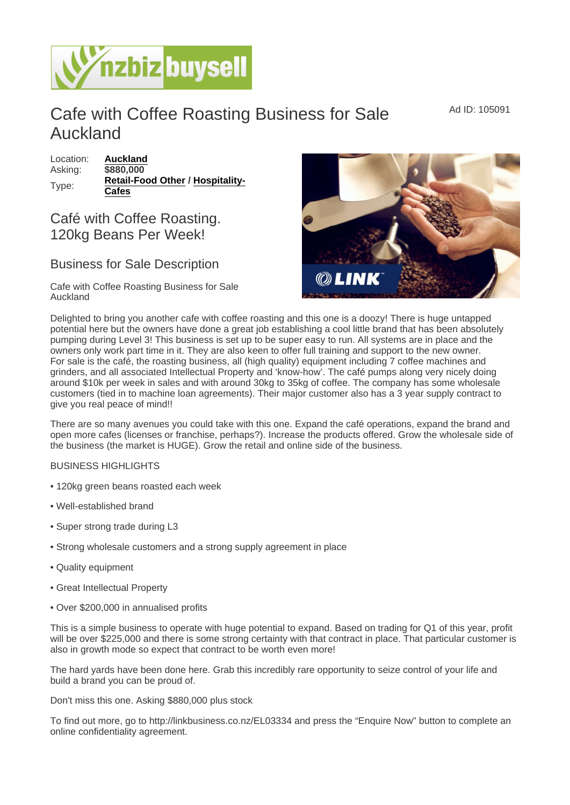## Cafe with Coffee Roasting Business for Sale Auckland

Location: [Auckland](https://www.nzbizbuysell.co.nz/businesses-for-sale/location/Auckland) Asking: \$880,000 Type: [Retail-Food Other](https://www.nzbizbuysell.co.nz/businesses-for-sale/Retail-Food--Beverage/New-Zealand) / [Hospitality-](https://www.nzbizbuysell.co.nz/businesses-for-sale/Cafes/New-Zealand)[Cafes](https://www.nzbizbuysell.co.nz/businesses-for-sale/Cafes/New-Zealand)

## Café with Coffee Roasting. 120kg Beans Per Week!

## Business for Sale Description

Cafe with Coffee Roasting Business for Sale Auckland

Delighted to bring you another cafe with coffee roasting and this one is a doozy! There is huge untapped potential here but the owners have done a great job establishing a cool little brand that has been absolutely pumping during Level 3! This business is set up to be super easy to run. All systems are in place and the owners only work part time in it. They are also keen to offer full training and support to the new owner. For sale is the café, the roasting business, all (high quality) equipment including 7 coffee machines and grinders, and all associated Intellectual Property and 'know-how'. The café pumps along very nicely doing around \$10k per week in sales and with around 30kg to 35kg of coffee. The company has some wholesale customers (tied in to machine loan agreements). Their major customer also has a 3 year supply contract to give you real peace of mind!!

There are so many avenues you could take with this one. Expand the café operations, expand the brand and open more cafes (licenses or franchise, perhaps?). Increase the products offered. Grow the wholesale side of the business (the market is HUGE). Grow the retail and online side of the business.

## BUSINESS HIGHLIGHTS

- 120kg green beans roasted each week
- Well-established brand
- Super strong trade during L3
- Strong wholesale customers and a strong supply agreement in place
- Quality equipment
- Great Intellectual Property
- Over \$200,000 in annualised profits

This is a simple business to operate with huge potential to expand. Based on trading for Q1 of this year, profit will be over \$225,000 and there is some strong certainty with that contract in place. That particular customer is also in growth mode so expect that contract to be worth even more!

The hard yards have been done here. Grab this incredibly rare opportunity to seize control of your life and build a brand you can be proud of.

Don't miss this one. Asking \$880,000 plus stock

To find out more, go to http://linkbusiness.co.nz/EL03334 and press the "Enquire Now" button to complete an online confidentiality agreement.